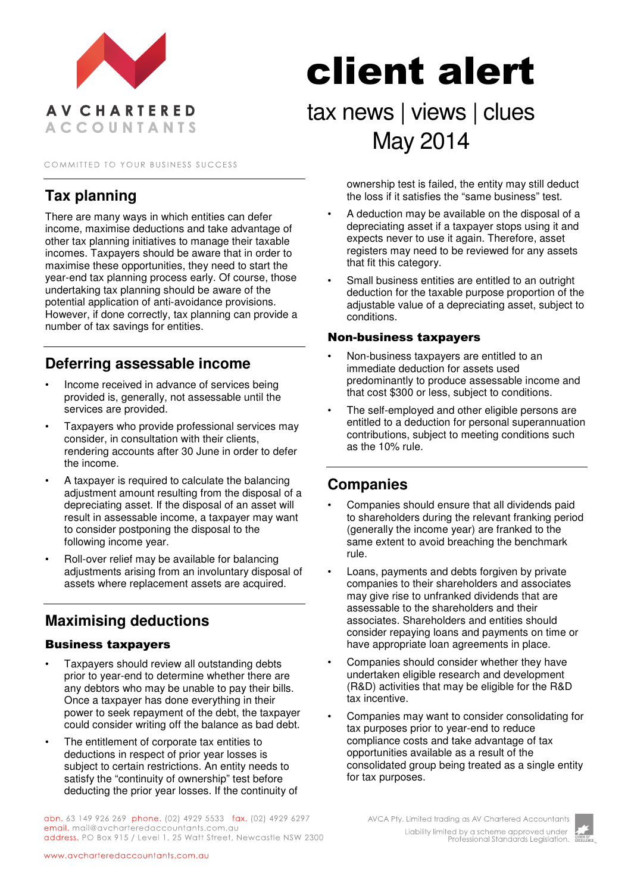

COMMITTED TO YOUR BUSINESS SUCCESS

## **Tax planning**

There are many ways in which entities can defer income, maximise deductions and take advantage of other tax planning initiatives to manage their taxable incomes. Taxpayers should be aware that in order to maximise these opportunities, they need to start the year-end tax planning process early. Of course, those undertaking tax planning should be aware of the potential application of anti-avoidance provisions. However, if done correctly, tax planning can provide a number of tax savings for entities.

## **Deferring assessable income**

- Income received in advance of services being provided is, generally, not assessable until the services are provided.
- Taxpayers who provide professional services may consider, in consultation with their clients, rendering accounts after 30 June in order to defer the income.
- A taxpayer is required to calculate the balancing adjustment amount resulting from the disposal of a depreciating asset. If the disposal of an asset will result in assessable income, a taxpayer may want to consider postponing the disposal to the following income year.
- Roll-over relief may be available for balancing adjustments arising from an involuntary disposal of assets where replacement assets are acquired.

# **Maximising deductions**

#### Business taxpayers

- Taxpayers should review all outstanding debts prior to year-end to determine whether there are any debtors who may be unable to pay their bills. Once a taxpayer has done everything in their power to seek repayment of the debt, the taxpayer could consider writing off the balance as bad debt.
- The entitlement of corporate tax entities to deductions in respect of prior year losses is subject to certain restrictions. An entity needs to satisfy the "continuity of ownership" test before deducting the prior year losses. If the continuity of

abn. 63 149 926 269 phone. (02) 4929 5533 fax. (02) 4929 6297 email. mail@avcharteredaccountants.com.au address. PO Box 915 / Level 1, 25 Watt Street, Newcastle NSW 2300

# client alert

tax news | views | clues May 2014

> ownership test is failed, the entity may still deduct the loss if it satisfies the "same business" test.

- A deduction may be available on the disposal of a depreciating asset if a taxpayer stops using it and expects never to use it again. Therefore, asset registers may need to be reviewed for any assets that fit this category.
- Small business entities are entitled to an outright deduction for the taxable purpose proportion of the adjustable value of a depreciating asset, subject to conditions.

#### Non-business taxpayers

- Non-business taxpayers are entitled to an immediate deduction for assets used predominantly to produce assessable income and that cost \$300 or less, subject to conditions.
- The self-employed and other eligible persons are entitled to a deduction for personal superannuation contributions, subject to meeting conditions such as the 10% rule.

## **Companies**

- Companies should ensure that all dividends paid to shareholders during the relevant franking period (generally the income year) are franked to the same extent to avoid breaching the benchmark rule.
- Loans, payments and debts forgiven by private companies to their shareholders and associates may give rise to unfranked dividends that are assessable to the shareholders and their associates. Shareholders and entities should consider repaying loans and payments on time or have appropriate loan agreements in place.
- Companies should consider whether they have undertaken eligible research and development (R&D) activities that may be eligible for the R&D tax incentive.
- Companies may want to consider consolidating for tax purposes prior to year-end to reduce compliance costs and take advantage of tax opportunities available as a result of the consolidated group being treated as a single entity for tax purposes.